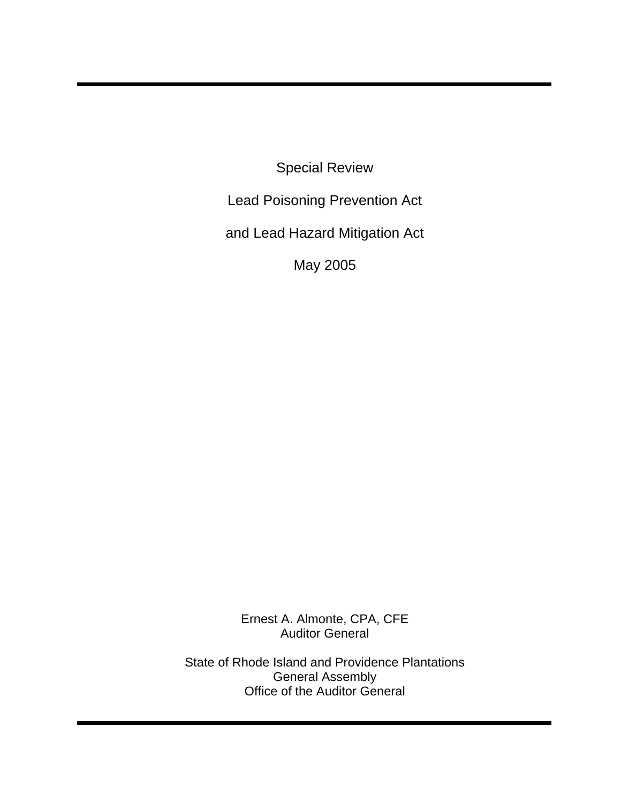Special Review

Lead Poisoning Prevention Act

and Lead Hazard Mitigation Act

May 2005

Ernest A. Almonte, CPA, CFE Auditor General

State of Rhode Island and Providence Plantations General Assembly Office of the Auditor General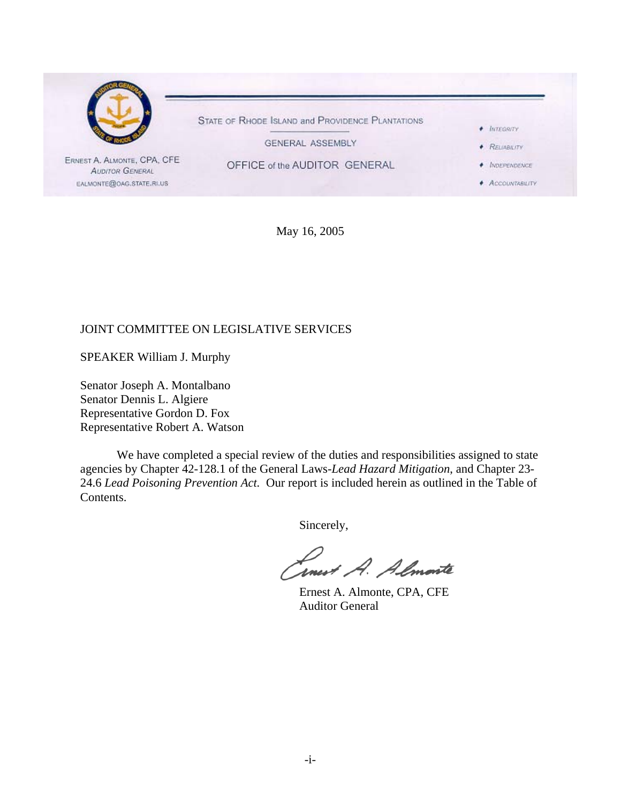

May 16, 2005

## JOINT COMMITTEE ON LEGISLATIVE SERVICES

SPEAKER William J. Murphy

Senator Joseph A. Montalbano Senator Dennis L. Algiere Representative Gordon D. Fox Representative Robert A. Watson

We have completed a special review of the duties and responsibilities assigned to state agencies by Chapter 42-128.1 of the General Laws-*Lead Hazard Mitigation*, and Chapter 23- 24.6 *Lead Poisoning Prevention Act.* Our report is included herein as outlined in the Table of Contents.

Sincerely,

Linest A. Almonte

 Ernest A. Almonte, CPA, CFE Auditor General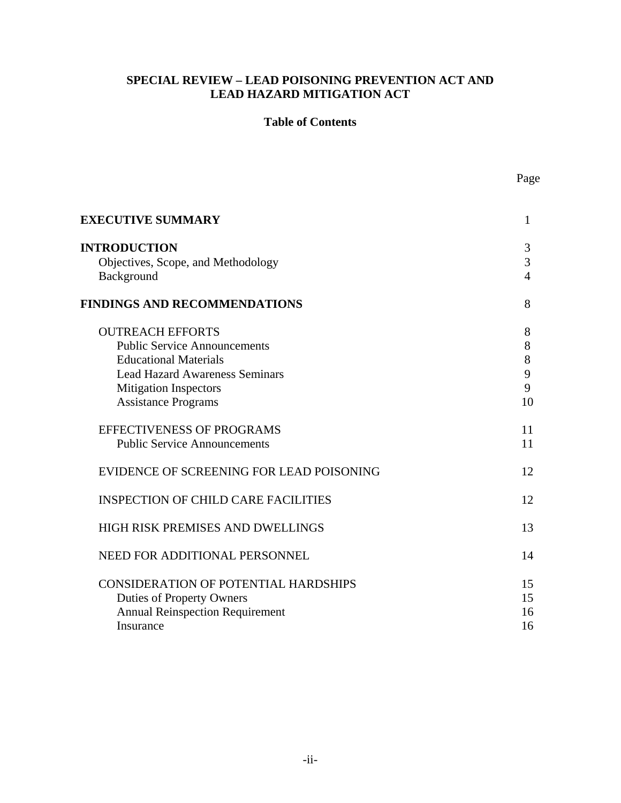## **SPECIAL REVIEW – LEAD POISONING PREVENTION ACT AND LEAD HAZARD MITIGATION ACT**

#### **Table of Contents**

| <b>EXECUTIVE SUMMARY</b>                                                                                                                                                                              | 1                           |
|-------------------------------------------------------------------------------------------------------------------------------------------------------------------------------------------------------|-----------------------------|
| <b>INTRODUCTION</b><br>Objectives, Scope, and Methodology<br>Background                                                                                                                               | 3<br>3<br>$\overline{4}$    |
| <b>FINDINGS AND RECOMMENDATIONS</b>                                                                                                                                                                   | 8                           |
| <b>OUTREACH EFFORTS</b><br><b>Public Service Announcements</b><br><b>Educational Materials</b><br><b>Lead Hazard Awareness Seminars</b><br><b>Mitigation Inspectors</b><br><b>Assistance Programs</b> | 8<br>8<br>8<br>9<br>9<br>10 |
| <b>EFFECTIVENESS OF PROGRAMS</b><br><b>Public Service Announcements</b>                                                                                                                               | 11<br>11                    |
| EVIDENCE OF SCREENING FOR LEAD POISONING                                                                                                                                                              | 12                          |
| <b>INSPECTION OF CHILD CARE FACILITIES</b>                                                                                                                                                            | 12                          |
| HIGH RISK PREMISES AND DWELLINGS                                                                                                                                                                      | 13                          |
| NEED FOR ADDITIONAL PERSONNEL                                                                                                                                                                         | 14                          |
| <b>CONSIDERATION OF POTENTIAL HARDSHIPS</b><br><b>Duties of Property Owners</b><br><b>Annual Reinspection Requirement</b><br>Insurance                                                                | 15<br>15<br>16<br>16        |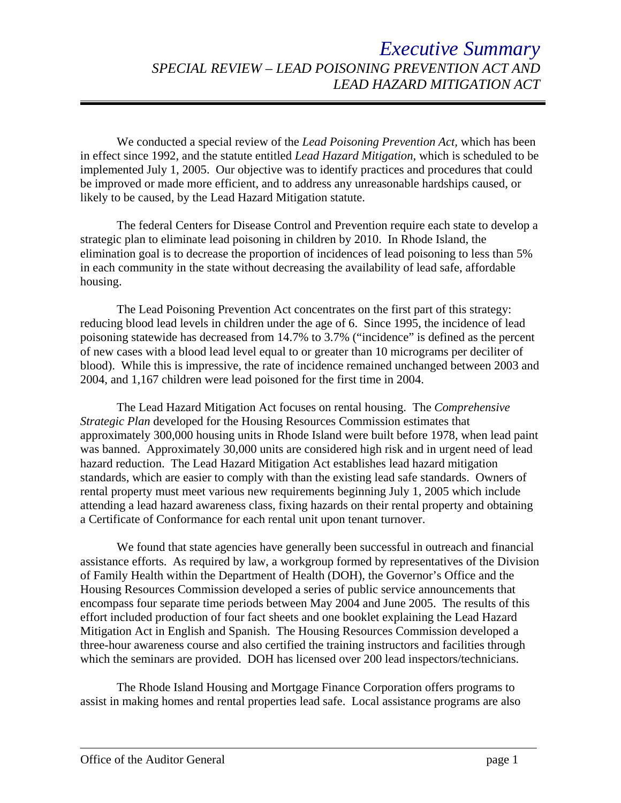# *Executive Summary SPECIAL REVIEW – LEAD POISONING PREVENTION ACT AND LEAD HAZARD MITIGATION ACT*

We conducted a special review of the *Lead Poisoning Prevention Act,* which has been in effect since 1992, and the statute entitled *Lead Hazard Mitigation*, which is scheduled to be implemented July 1, 2005. Our objective was to identify practices and procedures that could be improved or made more efficient, and to address any unreasonable hardships caused, or likely to be caused, by the Lead Hazard Mitigation statute.

The federal Centers for Disease Control and Prevention require each state to develop a strategic plan to eliminate lead poisoning in children by 2010. In Rhode Island, the elimination goal is to decrease the proportion of incidences of lead poisoning to less than 5% in each community in the state without decreasing the availability of lead safe, affordable housing.

The Lead Poisoning Prevention Act concentrates on the first part of this strategy: reducing blood lead levels in children under the age of 6. Since 1995, the incidence of lead poisoning statewide has decreased from 14.7% to 3.7% ("incidence" is defined as the percent of new cases with a blood lead level equal to or greater than 10 micrograms per deciliter of blood). While this is impressive, the rate of incidence remained unchanged between 2003 and 2004, and 1,167 children were lead poisoned for the first time in 2004.

The Lead Hazard Mitigation Act focuses on rental housing. The *Comprehensive Strategic Plan* developed for the Housing Resources Commission estimates that approximately 300,000 housing units in Rhode Island were built before 1978, when lead paint was banned. Approximately 30,000 units are considered high risk and in urgent need of lead hazard reduction. The Lead Hazard Mitigation Act establishes lead hazard mitigation standards, which are easier to comply with than the existing lead safe standards. Owners of rental property must meet various new requirements beginning July 1, 2005 which include attending a lead hazard awareness class, fixing hazards on their rental property and obtaining a Certificate of Conformance for each rental unit upon tenant turnover.

We found that state agencies have generally been successful in outreach and financial assistance efforts. As required by law, a workgroup formed by representatives of the Division of Family Health within the Department of Health (DOH), the Governor's Office and the Housing Resources Commission developed a series of public service announcements that encompass four separate time periods between May 2004 and June 2005. The results of this effort included production of four fact sheets and one booklet explaining the Lead Hazard Mitigation Act in English and Spanish. The Housing Resources Commission developed a three-hour awareness course and also certified the training instructors and facilities through which the seminars are provided. DOH has licensed over 200 lead inspectors/technicians.

The Rhode Island Housing and Mortgage Finance Corporation offers programs to assist in making homes and rental properties lead safe. Local assistance programs are also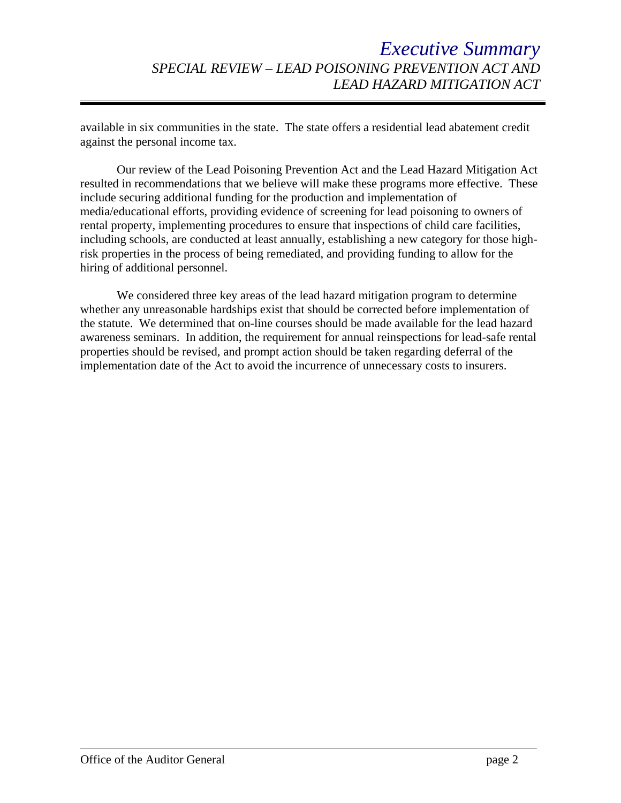available in six communities in the state. The state offers a residential lead abatement credit against the personal income tax.

Our review of the Lead Poisoning Prevention Act and the Lead Hazard Mitigation Act resulted in recommendations that we believe will make these programs more effective. These include securing additional funding for the production and implementation of media/educational efforts, providing evidence of screening for lead poisoning to owners of rental property, implementing procedures to ensure that inspections of child care facilities, including schools, are conducted at least annually, establishing a new category for those highrisk properties in the process of being remediated, and providing funding to allow for the hiring of additional personnel.

We considered three key areas of the lead hazard mitigation program to determine whether any unreasonable hardships exist that should be corrected before implementation of the statute. We determined that on-line courses should be made available for the lead hazard awareness seminars. In addition, the requirement for annual reinspections for lead-safe rental properties should be revised, and prompt action should be taken regarding deferral of the implementation date of the Act to avoid the incurrence of unnecessary costs to insurers.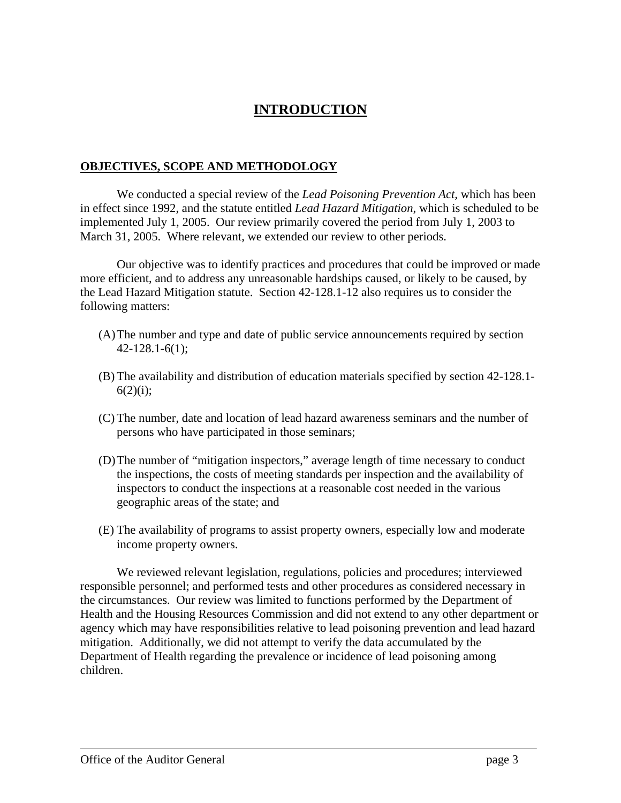## **INTRODUCTION**

#### **OBJECTIVES, SCOPE AND METHODOLOGY**

We conducted a special review of the *Lead Poisoning Prevention Act,* which has been in effect since 1992, and the statute entitled *Lead Hazard Mitigation*, which is scheduled to be implemented July 1, 2005. Our review primarily covered the period from July 1, 2003 to March 31, 2005. Where relevant, we extended our review to other periods.

Our objective was to identify practices and procedures that could be improved or made more efficient, and to address any unreasonable hardships caused, or likely to be caused, by the Lead Hazard Mitigation statute. Section 42-128.1-12 also requires us to consider the following matters:

- (A) The number and type and date of public service announcements required by section 42-128.1-6(1);
- (B) The availability and distribution of education materials specified by section 42-128.1-  $6(2)(i);$
- (C) The number, date and location of lead hazard awareness seminars and the number of persons who have participated in those seminars;
- (D) The number of "mitigation inspectors," average length of time necessary to conduct the inspections, the costs of meeting standards per inspection and the availability of inspectors to conduct the inspections at a reasonable cost needed in the various geographic areas of the state; and
- (E) The availability of programs to assist property owners, especially low and moderate income property owners.

We reviewed relevant legislation, regulations, policies and procedures; interviewed responsible personnel; and performed tests and other procedures as considered necessary in the circumstances. Our review was limited to functions performed by the Department of Health and the Housing Resources Commission and did not extend to any other department or agency which may have responsibilities relative to lead poisoning prevention and lead hazard mitigation. Additionally, we did not attempt to verify the data accumulated by the Department of Health regarding the prevalence or incidence of lead poisoning among children.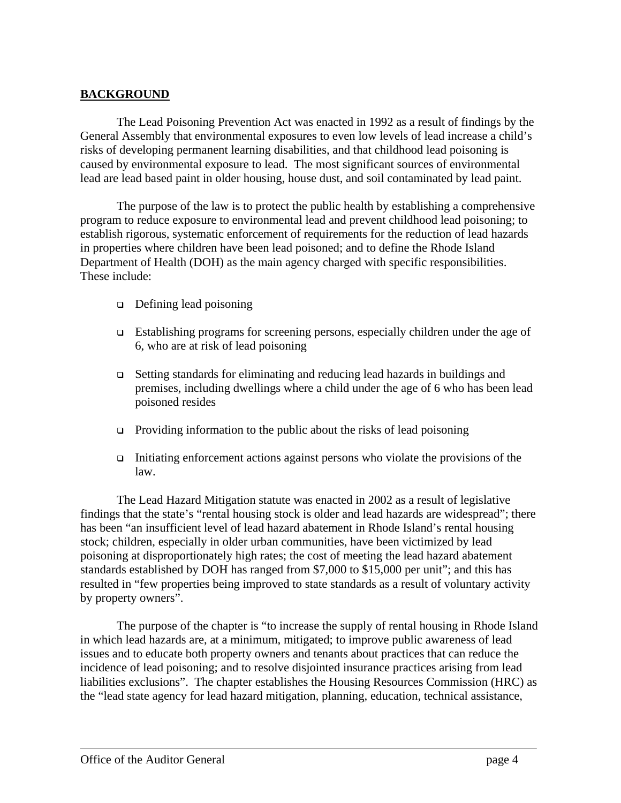## **BACKGROUND**

The Lead Poisoning Prevention Act was enacted in 1992 as a result of findings by the General Assembly that environmental exposures to even low levels of lead increase a child's risks of developing permanent learning disabilities, and that childhood lead poisoning is caused by environmental exposure to lead. The most significant sources of environmental lead are lead based paint in older housing, house dust, and soil contaminated by lead paint.

The purpose of the law is to protect the public health by establishing a comprehensive program to reduce exposure to environmental lead and prevent childhood lead poisoning; to establish rigorous, systematic enforcement of requirements for the reduction of lead hazards in properties where children have been lead poisoned; and to define the Rhode Island Department of Health (DOH) as the main agency charged with specific responsibilities. These include:

- □ Defining lead poisoning
- Establishing programs for screening persons, especially children under the age of 6, who are at risk of lead poisoning
- Setting standards for eliminating and reducing lead hazards in buildings and premises, including dwellings where a child under the age of 6 who has been lead poisoned resides
- $\Box$  Providing information to the public about the risks of lead poisoning
- Initiating enforcement actions against persons who violate the provisions of the law.

The Lead Hazard Mitigation statute was enacted in 2002 as a result of legislative findings that the state's "rental housing stock is older and lead hazards are widespread"; there has been "an insufficient level of lead hazard abatement in Rhode Island's rental housing stock; children, especially in older urban communities, have been victimized by lead poisoning at disproportionately high rates; the cost of meeting the lead hazard abatement standards established by DOH has ranged from \$7,000 to \$15,000 per unit"; and this has resulted in "few properties being improved to state standards as a result of voluntary activity by property owners".

The purpose of the chapter is "to increase the supply of rental housing in Rhode Island in which lead hazards are, at a minimum, mitigated; to improve public awareness of lead issues and to educate both property owners and tenants about practices that can reduce the incidence of lead poisoning; and to resolve disjointed insurance practices arising from lead liabilities exclusions". The chapter establishes the Housing Resources Commission (HRC) as the "lead state agency for lead hazard mitigation, planning, education, technical assistance,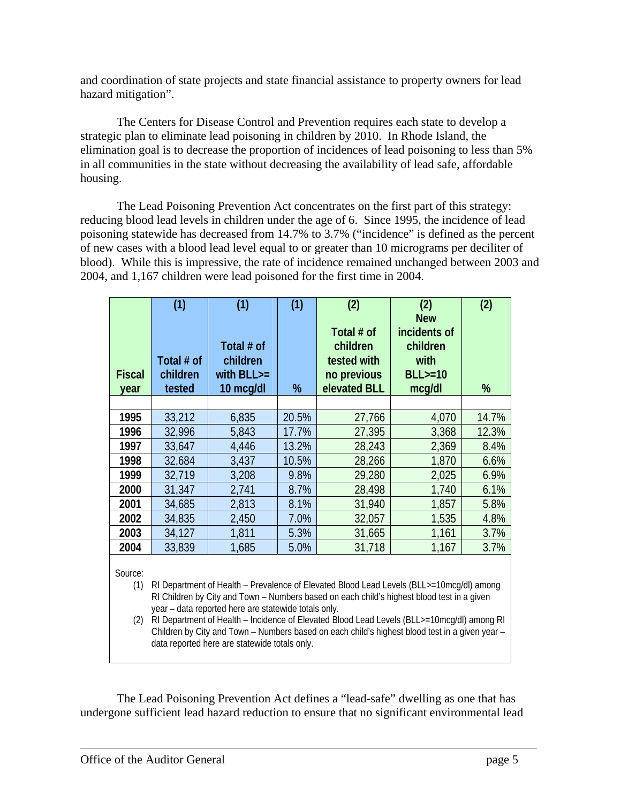and coordination of state projects and state financial assistance to property owners for lead hazard mitigation".

The Centers for Disease Control and Prevention requires each state to develop a strategic plan to eliminate lead poisoning in children by 2010. In Rhode Island, the elimination goal is to decrease the proportion of incidences of lead poisoning to less than 5% in all communities in the state without decreasing the availability of lead safe, affordable housing.

The Lead Poisoning Prevention Act concentrates on the first part of this strategy: reducing blood lead levels in children under the age of 6. Since 1995, the incidence of lead poisoning statewide has decreased from 14.7% to 3.7% ("incidence" is defined as the percent of new cases with a blood lead level equal to or greater than 10 micrograms per deciliter of blood). While this is impressive, the rate of incidence remained unchanged between 2003 and 2004, and 1,167 children were lead poisoned for the first time in 2004.

| <b>Fiscal</b><br>year                                                                                                                                                                                                                                                                                                                                                                                                                                                                                                    | (1)<br>Total # of<br>children<br>tested | (1)<br>Total # of<br>children<br>with $BLL$ $>$ =<br>10 mcg/dl | (1)<br>% | (2)<br>Total # of<br>children<br>tested with<br>no previous<br>elevated BLL | (2)<br><b>New</b><br>incidents of<br>children<br>with<br>$BLL>=10$<br>mcg/dl | (2)<br>% |  |
|--------------------------------------------------------------------------------------------------------------------------------------------------------------------------------------------------------------------------------------------------------------------------------------------------------------------------------------------------------------------------------------------------------------------------------------------------------------------------------------------------------------------------|-----------------------------------------|----------------------------------------------------------------|----------|-----------------------------------------------------------------------------|------------------------------------------------------------------------------|----------|--|
|                                                                                                                                                                                                                                                                                                                                                                                                                                                                                                                          |                                         |                                                                | 20.5%    |                                                                             |                                                                              | 14.7%    |  |
| 1995<br>1996                                                                                                                                                                                                                                                                                                                                                                                                                                                                                                             | 33,212<br>32,996                        | 6,835<br>5,843                                                 | 17.7%    | 27,766<br>27,395                                                            | 4,070<br>3,368                                                               | 12.3%    |  |
| 1997                                                                                                                                                                                                                                                                                                                                                                                                                                                                                                                     | 33,647                                  | 4,446                                                          | 13.2%    | 28,243                                                                      | 2,369                                                                        | 8.4%     |  |
| 1998                                                                                                                                                                                                                                                                                                                                                                                                                                                                                                                     | 32,684                                  | 3,437                                                          | 10.5%    | 28,266                                                                      | 1,870                                                                        | 6.6%     |  |
|                                                                                                                                                                                                                                                                                                                                                                                                                                                                                                                          |                                         |                                                                |          |                                                                             |                                                                              |          |  |
| 1999                                                                                                                                                                                                                                                                                                                                                                                                                                                                                                                     | 32,719                                  | 3,208                                                          | 9.8%     | 29,280                                                                      | 2,025                                                                        | 6.9%     |  |
| 2000                                                                                                                                                                                                                                                                                                                                                                                                                                                                                                                     | 31,347                                  | 2,741                                                          | 8.7%     | 28,498                                                                      | 1,740                                                                        | 6.1%     |  |
| 2001                                                                                                                                                                                                                                                                                                                                                                                                                                                                                                                     | 34,685                                  | 2,813                                                          | 8.1%     | 31,940                                                                      | 1,857                                                                        | 5.8%     |  |
| 2002                                                                                                                                                                                                                                                                                                                                                                                                                                                                                                                     | 34,835                                  | 2,450                                                          | 7.0%     | 32,057                                                                      | 1,535                                                                        | 4.8%     |  |
| 2003                                                                                                                                                                                                                                                                                                                                                                                                                                                                                                                     | 34,127                                  | 1,811                                                          | 5.3%     | 31,665                                                                      | 1,161                                                                        | 3.7%     |  |
| 2004                                                                                                                                                                                                                                                                                                                                                                                                                                                                                                                     | 33,839                                  | 1,685                                                          | 5.0%     | 31,718                                                                      | 1,167                                                                        | 3.7%     |  |
| Source:<br>RI Department of Health - Prevalence of Elevated Blood Lead Levels (BLL>=10mcg/dl) among<br>(1)<br>RI Children by City and Town - Numbers based on each child's highest blood test in a given<br>year - data reported here are statewide totals only.<br>RI Department of Health - Incidence of Elevated Blood Lead Levels (BLL>=10mcg/dl) among RI<br>(2)<br>Children by City and Town - Numbers based on each child's highest blood test in a given year -<br>data reported here are statewide totals only. |                                         |                                                                |          |                                                                             |                                                                              |          |  |

The Lead Poisoning Prevention Act defines a "lead-safe" dwelling as one that has undergone sufficient lead hazard reduction to ensure that no significant environmental lead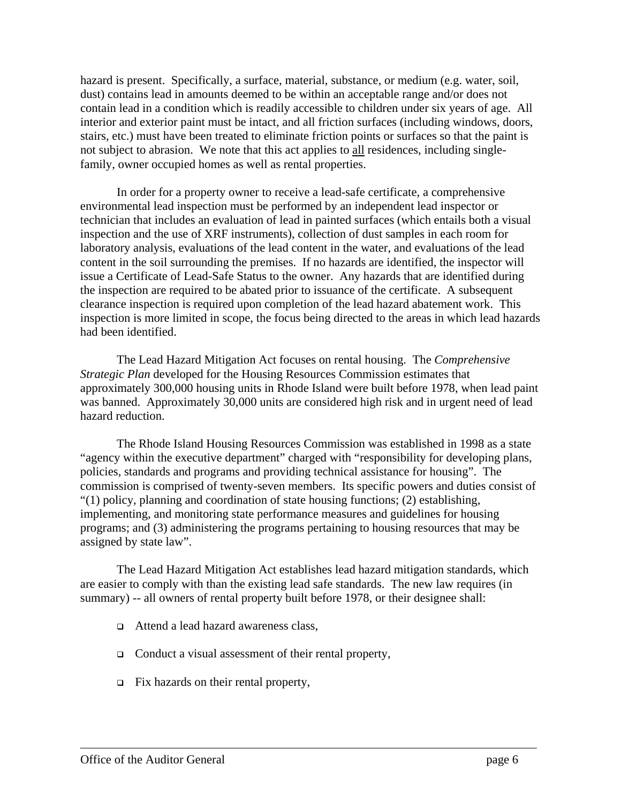hazard is present. Specifically, a surface, material, substance, or medium (e.g. water, soil, dust) contains lead in amounts deemed to be within an acceptable range and/or does not contain lead in a condition which is readily accessible to children under six years of age. All interior and exterior paint must be intact, and all friction surfaces (including windows, doors, stairs, etc.) must have been treated to eliminate friction points or surfaces so that the paint is not subject to abrasion. We note that this act applies to all residences, including singlefamily, owner occupied homes as well as rental properties.

In order for a property owner to receive a lead-safe certificate, a comprehensive environmental lead inspection must be performed by an independent lead inspector or technician that includes an evaluation of lead in painted surfaces (which entails both a visual inspection and the use of XRF instruments), collection of dust samples in each room for laboratory analysis, evaluations of the lead content in the water, and evaluations of the lead content in the soil surrounding the premises. If no hazards are identified, the inspector will issue a Certificate of Lead-Safe Status to the owner. Any hazards that are identified during the inspection are required to be abated prior to issuance of the certificate. A subsequent clearance inspection is required upon completion of the lead hazard abatement work. This inspection is more limited in scope, the focus being directed to the areas in which lead hazards had been identified.

The Lead Hazard Mitigation Act focuses on rental housing. The *Comprehensive Strategic Plan* developed for the Housing Resources Commission estimates that approximately 300,000 housing units in Rhode Island were built before 1978, when lead paint was banned. Approximately 30,000 units are considered high risk and in urgent need of lead hazard reduction.

The Rhode Island Housing Resources Commission was established in 1998 as a state "agency within the executive department" charged with "responsibility for developing plans, policies, standards and programs and providing technical assistance for housing". The commission is comprised of twenty-seven members. Its specific powers and duties consist of "(1) policy, planning and coordination of state housing functions; (2) establishing, implementing, and monitoring state performance measures and guidelines for housing programs; and (3) administering the programs pertaining to housing resources that may be assigned by state law".

The Lead Hazard Mitigation Act establishes lead hazard mitigation standards, which are easier to comply with than the existing lead safe standards. The new law requires (in summary) -- all owners of rental property built before 1978, or their designee shall:

- □ Attend a lead hazard awareness class,
- $\Box$  Conduct a visual assessment of their rental property,
- $\Box$  Fix hazards on their rental property,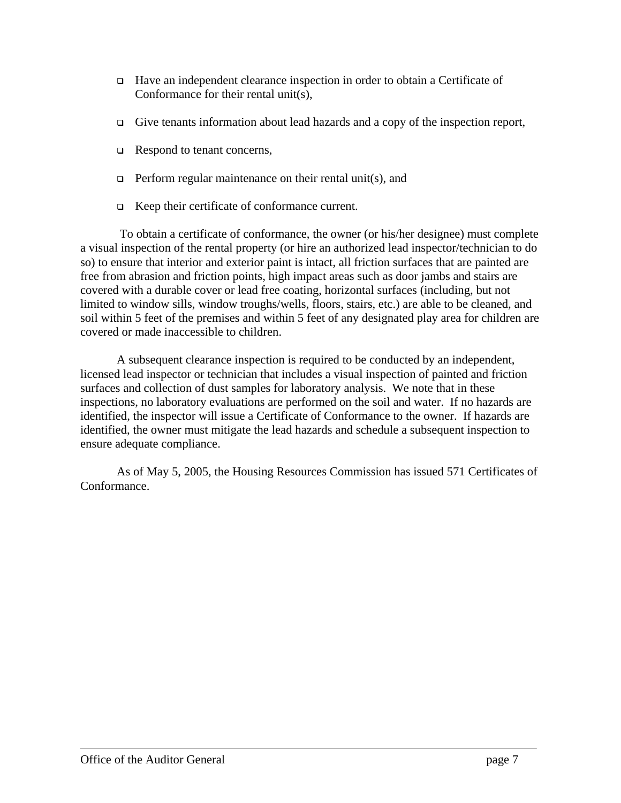- Have an independent clearance inspection in order to obtain a Certificate of Conformance for their rental unit(s),
- Give tenants information about lead hazards and a copy of the inspection report,
- Respond to tenant concerns,
- **Perform regular maintenance on their rental unit(s), and**
- Keep their certificate of conformance current.

 To obtain a certificate of conformance, the owner (or his/her designee) must complete a visual inspection of the rental property (or hire an authorized lead inspector/technician to do so) to ensure that interior and exterior paint is intact, all friction surfaces that are painted are free from abrasion and friction points, high impact areas such as door jambs and stairs are covered with a durable cover or lead free coating, horizontal surfaces (including, but not limited to window sills, window troughs/wells, floors, stairs, etc.) are able to be cleaned, and soil within 5 feet of the premises and within 5 feet of any designated play area for children are covered or made inaccessible to children.

A subsequent clearance inspection is required to be conducted by an independent, licensed lead inspector or technician that includes a visual inspection of painted and friction surfaces and collection of dust samples for laboratory analysis. We note that in these inspections, no laboratory evaluations are performed on the soil and water. If no hazards are identified, the inspector will issue a Certificate of Conformance to the owner. If hazards are identified, the owner must mitigate the lead hazards and schedule a subsequent inspection to ensure adequate compliance.

As of May 5, 2005, the Housing Resources Commission has issued 571 Certificates of Conformance.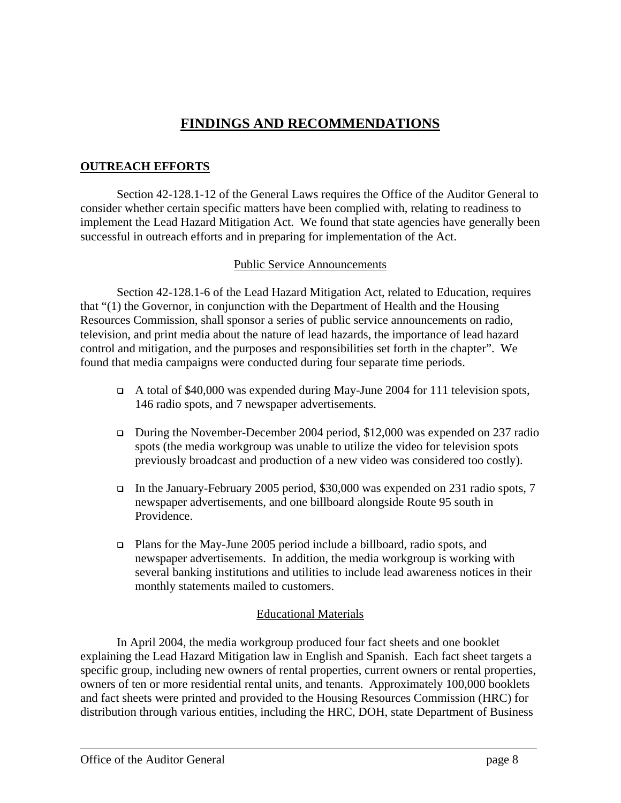## **FINDINGS AND RECOMMENDATIONS**

## **OUTREACH EFFORTS**

Section 42-128.1-12 of the General Laws requires the Office of the Auditor General to consider whether certain specific matters have been complied with, relating to readiness to implement the Lead Hazard Mitigation Act. We found that state agencies have generally been successful in outreach efforts and in preparing for implementation of the Act.

#### Public Service Announcements

Section 42-128.1-6 of the Lead Hazard Mitigation Act, related to Education, requires that "(1) the Governor, in conjunction with the Department of Health and the Housing Resources Commission, shall sponsor a series of public service announcements on radio, television, and print media about the nature of lead hazards, the importance of lead hazard control and mitigation, and the purposes and responsibilities set forth in the chapter". We found that media campaigns were conducted during four separate time periods.

- $\Box$  A total of \$40,000 was expended during May-June 2004 for 111 television spots, 146 radio spots, and 7 newspaper advertisements.
- During the November-December 2004 period, \$12,000 was expended on 237 radio spots (the media workgroup was unable to utilize the video for television spots previously broadcast and production of a new video was considered too costly).
- In the January-February 2005 period, \$30,000 was expended on 231 radio spots, 7 newspaper advertisements, and one billboard alongside Route 95 south in Providence.
- Plans for the May-June 2005 period include a billboard, radio spots, and newspaper advertisements. In addition, the media workgroup is working with several banking institutions and utilities to include lead awareness notices in their monthly statements mailed to customers.

#### Educational Materials

In April 2004, the media workgroup produced four fact sheets and one booklet explaining the Lead Hazard Mitigation law in English and Spanish. Each fact sheet targets a specific group, including new owners of rental properties, current owners or rental properties, owners of ten or more residential rental units, and tenants. Approximately 100,000 booklets and fact sheets were printed and provided to the Housing Resources Commission (HRC) for distribution through various entities, including the HRC, DOH, state Department of Business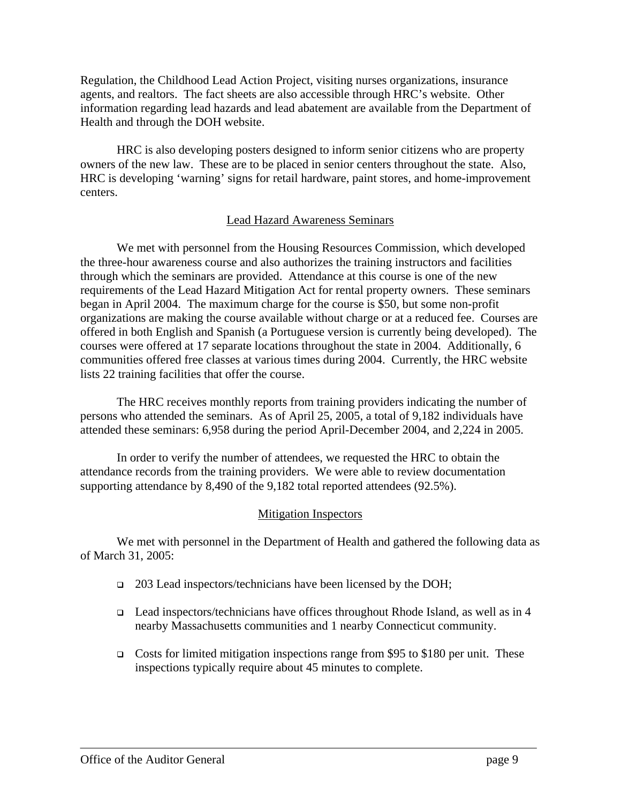Regulation, the Childhood Lead Action Project, visiting nurses organizations, insurance agents, and realtors. The fact sheets are also accessible through HRC's website. Other information regarding lead hazards and lead abatement are available from the Department of Health and through the DOH website.

HRC is also developing posters designed to inform senior citizens who are property owners of the new law. These are to be placed in senior centers throughout the state. Also, HRC is developing 'warning' signs for retail hardware, paint stores, and home-improvement centers.

#### Lead Hazard Awareness Seminars

We met with personnel from the Housing Resources Commission, which developed the three-hour awareness course and also authorizes the training instructors and facilities through which the seminars are provided. Attendance at this course is one of the new requirements of the Lead Hazard Mitigation Act for rental property owners. These seminars began in April 2004. The maximum charge for the course is \$50, but some non-profit organizations are making the course available without charge or at a reduced fee. Courses are offered in both English and Spanish (a Portuguese version is currently being developed). The courses were offered at 17 separate locations throughout the state in 2004. Additionally, 6 communities offered free classes at various times during 2004. Currently, the HRC website lists 22 training facilities that offer the course.

The HRC receives monthly reports from training providers indicating the number of persons who attended the seminars. As of April 25, 2005, a total of 9,182 individuals have attended these seminars: 6,958 during the period April-December 2004, and 2,224 in 2005.

In order to verify the number of attendees, we requested the HRC to obtain the attendance records from the training providers. We were able to review documentation supporting attendance by 8,490 of the 9,182 total reported attendees (92.5%).

#### Mitigation Inspectors

We met with personnel in the Department of Health and gathered the following data as of March 31, 2005:

- □ 203 Lead inspectors/technicians have been licensed by the DOH;
- Lead inspectors/technicians have offices throughout Rhode Island, as well as in 4 nearby Massachusetts communities and 1 nearby Connecticut community.
- Costs for limited mitigation inspections range from \$95 to \$180 per unit. These inspections typically require about 45 minutes to complete.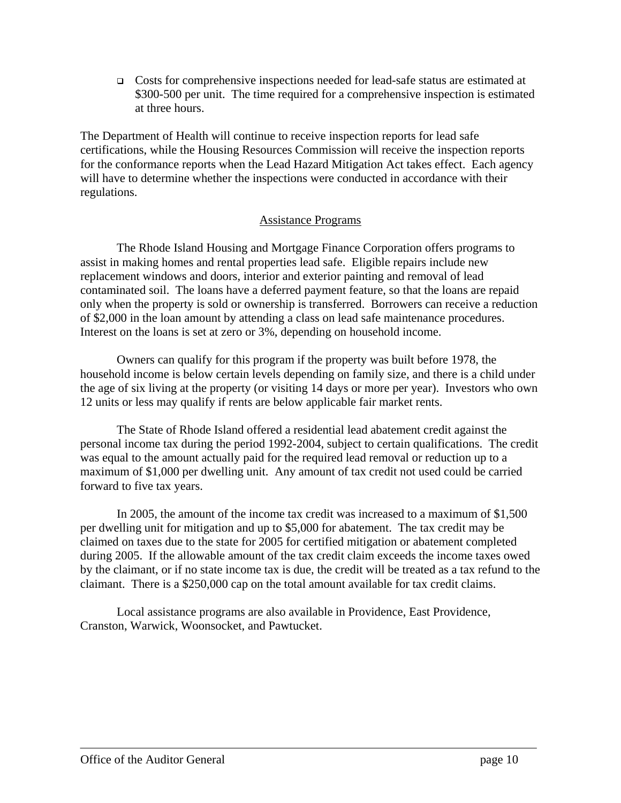Costs for comprehensive inspections needed for lead-safe status are estimated at \$300-500 per unit. The time required for a comprehensive inspection is estimated at three hours.

The Department of Health will continue to receive inspection reports for lead safe certifications, while the Housing Resources Commission will receive the inspection reports for the conformance reports when the Lead Hazard Mitigation Act takes effect. Each agency will have to determine whether the inspections were conducted in accordance with their regulations.

#### Assistance Programs

The Rhode Island Housing and Mortgage Finance Corporation offers programs to assist in making homes and rental properties lead safe. Eligible repairs include new replacement windows and doors, interior and exterior painting and removal of lead contaminated soil. The loans have a deferred payment feature, so that the loans are repaid only when the property is sold or ownership is transferred. Borrowers can receive a reduction of \$2,000 in the loan amount by attending a class on lead safe maintenance procedures. Interest on the loans is set at zero or 3%, depending on household income.

Owners can qualify for this program if the property was built before 1978, the household income is below certain levels depending on family size, and there is a child under the age of six living at the property (or visiting 14 days or more per year). Investors who own 12 units or less may qualify if rents are below applicable fair market rents.

The State of Rhode Island offered a residential lead abatement credit against the personal income tax during the period 1992-2004, subject to certain qualifications. The credit was equal to the amount actually paid for the required lead removal or reduction up to a maximum of \$1,000 per dwelling unit. Any amount of tax credit not used could be carried forward to five tax years.

In 2005, the amount of the income tax credit was increased to a maximum of \$1,500 per dwelling unit for mitigation and up to \$5,000 for abatement. The tax credit may be claimed on taxes due to the state for 2005 for certified mitigation or abatement completed during 2005. If the allowable amount of the tax credit claim exceeds the income taxes owed by the claimant, or if no state income tax is due, the credit will be treated as a tax refund to the claimant. There is a \$250,000 cap on the total amount available for tax credit claims.

Local assistance programs are also available in Providence, East Providence, Cranston, Warwick, Woonsocket, and Pawtucket.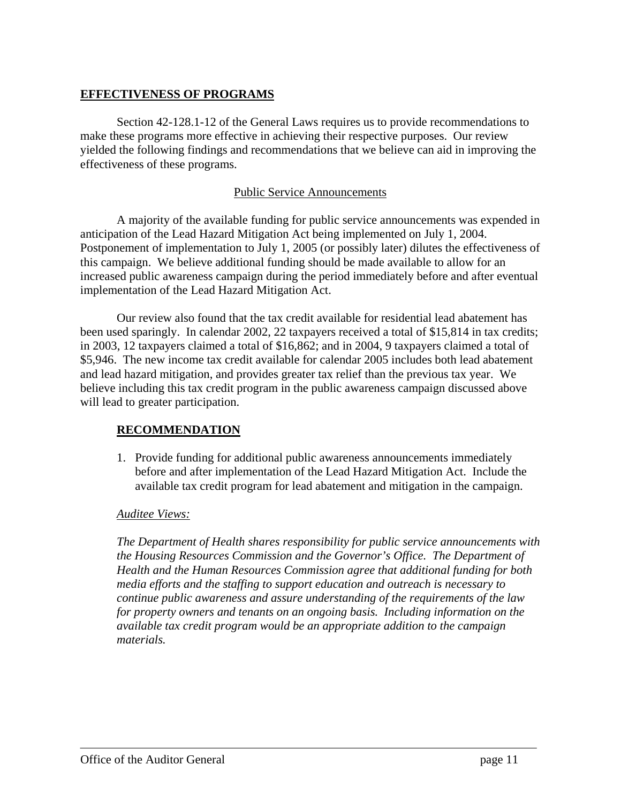## **EFFECTIVENESS OF PROGRAMS**

Section 42-128.1-12 of the General Laws requires us to provide recommendations to make these programs more effective in achieving their respective purposes. Our review yielded the following findings and recommendations that we believe can aid in improving the effectiveness of these programs.

#### Public Service Announcements

A majority of the available funding for public service announcements was expended in anticipation of the Lead Hazard Mitigation Act being implemented on July 1, 2004. Postponement of implementation to July 1, 2005 (or possibly later) dilutes the effectiveness of this campaign. We believe additional funding should be made available to allow for an increased public awareness campaign during the period immediately before and after eventual implementation of the Lead Hazard Mitigation Act.

Our review also found that the tax credit available for residential lead abatement has been used sparingly. In calendar 2002, 22 taxpayers received a total of \$15,814 in tax credits; in 2003, 12 taxpayers claimed a total of \$16,862; and in 2004, 9 taxpayers claimed a total of \$5,946. The new income tax credit available for calendar 2005 includes both lead abatement and lead hazard mitigation, and provides greater tax relief than the previous tax year. We believe including this tax credit program in the public awareness campaign discussed above will lead to greater participation.

## **RECOMMENDATION**

1. Provide funding for additional public awareness announcements immediately before and after implementation of the Lead Hazard Mitigation Act. Include the available tax credit program for lead abatement and mitigation in the campaign.

#### *Auditee Views:*

*The Department of Health shares responsibility for public service announcements with the Housing Resources Commission and the Governor's Office. The Department of Health and the Human Resources Commission agree that additional funding for both media efforts and the staffing to support education and outreach is necessary to continue public awareness and assure understanding of the requirements of the law for property owners and tenants on an ongoing basis. Including information on the available tax credit program would be an appropriate addition to the campaign materials.*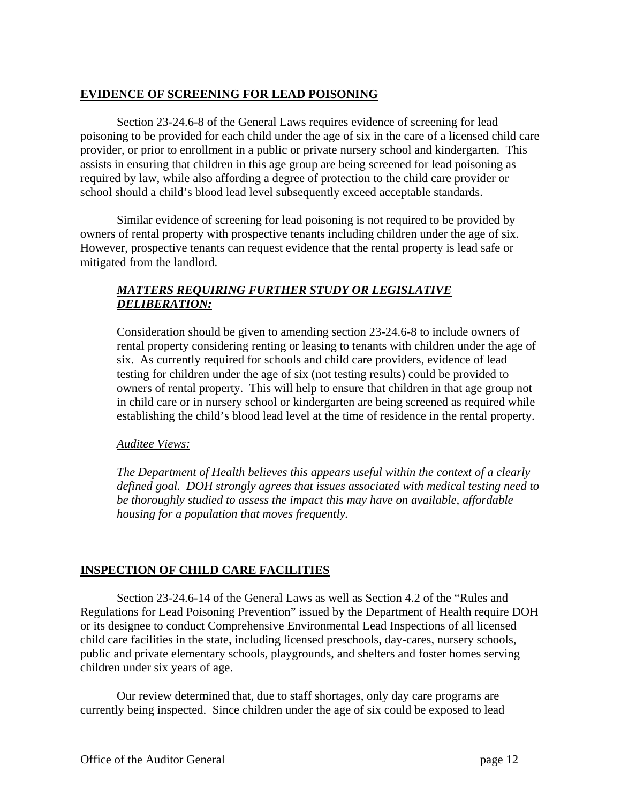## **EVIDENCE OF SCREENING FOR LEAD POISONING**

Section 23-24.6-8 of the General Laws requires evidence of screening for lead poisoning to be provided for each child under the age of six in the care of a licensed child care provider, or prior to enrollment in a public or private nursery school and kindergarten. This assists in ensuring that children in this age group are being screened for lead poisoning as required by law, while also affording a degree of protection to the child care provider or school should a child's blood lead level subsequently exceed acceptable standards.

Similar evidence of screening for lead poisoning is not required to be provided by owners of rental property with prospective tenants including children under the age of six. However, prospective tenants can request evidence that the rental property is lead safe or mitigated from the landlord.

## *MATTERS REQUIRING FURTHER STUDY OR LEGISLATIVE DELIBERATION:*

Consideration should be given to amending section 23-24.6-8 to include owners of rental property considering renting or leasing to tenants with children under the age of six. As currently required for schools and child care providers, evidence of lead testing for children under the age of six (not testing results) could be provided to owners of rental property. This will help to ensure that children in that age group not in child care or in nursery school or kindergarten are being screened as required while establishing the child's blood lead level at the time of residence in the rental property.

#### *Auditee Views:*

*The Department of Health believes this appears useful within the context of a clearly defined goal. DOH strongly agrees that issues associated with medical testing need to be thoroughly studied to assess the impact this may have on available, affordable housing for a population that moves frequently.* 

#### **INSPECTION OF CHILD CARE FACILITIES**

Section 23-24.6-14 of the General Laws as well as Section 4.2 of the "Rules and Regulations for Lead Poisoning Prevention" issued by the Department of Health require DOH or its designee to conduct Comprehensive Environmental Lead Inspections of all licensed child care facilities in the state, including licensed preschools, day-cares, nursery schools, public and private elementary schools, playgrounds, and shelters and foster homes serving children under six years of age.

Our review determined that, due to staff shortages, only day care programs are currently being inspected. Since children under the age of six could be exposed to lead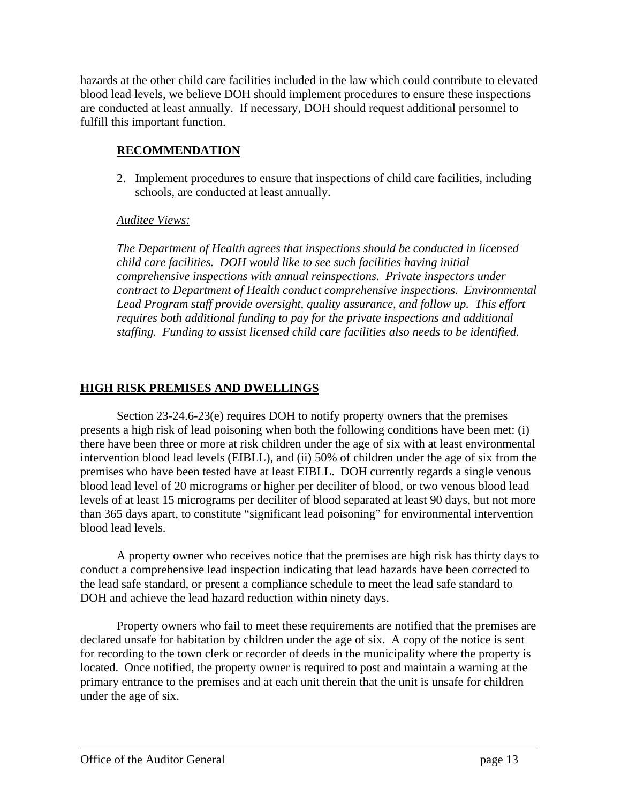hazards at the other child care facilities included in the law which could contribute to elevated blood lead levels, we believe DOH should implement procedures to ensure these inspections are conducted at least annually. If necessary, DOH should request additional personnel to fulfill this important function.

## **RECOMMENDATION**

2. Implement procedures to ensure that inspections of child care facilities, including schools, are conducted at least annually.

## *Auditee Views:*

*The Department of Health agrees that inspections should be conducted in licensed child care facilities. DOH would like to see such facilities having initial comprehensive inspections with annual reinspections. Private inspectors under contract to Department of Health conduct comprehensive inspections. Environmental Lead Program staff provide oversight, quality assurance, and follow up. This effort requires both additional funding to pay for the private inspections and additional staffing. Funding to assist licensed child care facilities also needs to be identified.* 

## **HIGH RISK PREMISES AND DWELLINGS**

Section 23-24.6-23(e) requires DOH to notify property owners that the premises presents a high risk of lead poisoning when both the following conditions have been met: (i) there have been three or more at risk children under the age of six with at least environmental intervention blood lead levels (EIBLL), and (ii) 50% of children under the age of six from the premises who have been tested have at least EIBLL. DOH currently regards a single venous blood lead level of 20 micrograms or higher per deciliter of blood, or two venous blood lead levels of at least 15 micrograms per deciliter of blood separated at least 90 days, but not more than 365 days apart, to constitute "significant lead poisoning" for environmental intervention blood lead levels.

A property owner who receives notice that the premises are high risk has thirty days to conduct a comprehensive lead inspection indicating that lead hazards have been corrected to the lead safe standard, or present a compliance schedule to meet the lead safe standard to DOH and achieve the lead hazard reduction within ninety days.

Property owners who fail to meet these requirements are notified that the premises are declared unsafe for habitation by children under the age of six. A copy of the notice is sent for recording to the town clerk or recorder of deeds in the municipality where the property is located. Once notified, the property owner is required to post and maintain a warning at the primary entrance to the premises and at each unit therein that the unit is unsafe for children under the age of six.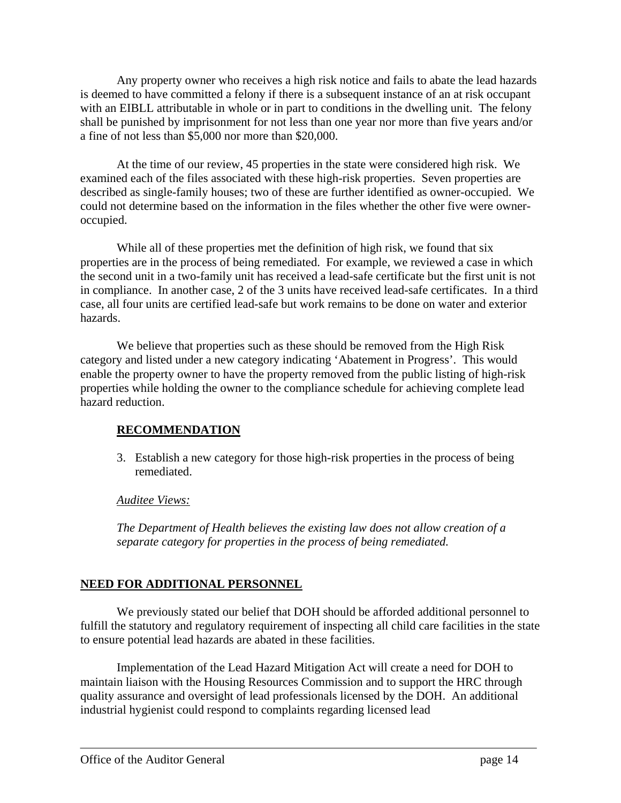Any property owner who receives a high risk notice and fails to abate the lead hazards is deemed to have committed a felony if there is a subsequent instance of an at risk occupant with an EIBLL attributable in whole or in part to conditions in the dwelling unit. The felony shall be punished by imprisonment for not less than one year nor more than five years and/or a fine of not less than \$5,000 nor more than \$20,000.

At the time of our review, 45 properties in the state were considered high risk. We examined each of the files associated with these high-risk properties. Seven properties are described as single-family houses; two of these are further identified as owner-occupied. We could not determine based on the information in the files whether the other five were owneroccupied.

While all of these properties met the definition of high risk, we found that six properties are in the process of being remediated. For example, we reviewed a case in which the second unit in a two-family unit has received a lead-safe certificate but the first unit is not in compliance. In another case, 2 of the 3 units have received lead-safe certificates. In a third case, all four units are certified lead-safe but work remains to be done on water and exterior hazards.

We believe that properties such as these should be removed from the High Risk category and listed under a new category indicating 'Abatement in Progress'. This would enable the property owner to have the property removed from the public listing of high-risk properties while holding the owner to the compliance schedule for achieving complete lead hazard reduction.

## **RECOMMENDATION**

3. Establish a new category for those high-risk properties in the process of being remediated.

#### *Auditee Views:*

*The Department of Health believes the existing law does not allow creation of a separate category for properties in the process of being remediated.* 

## **NEED FOR ADDITIONAL PERSONNEL**

We previously stated our belief that DOH should be afforded additional personnel to fulfill the statutory and regulatory requirement of inspecting all child care facilities in the state to ensure potential lead hazards are abated in these facilities.

Implementation of the Lead Hazard Mitigation Act will create a need for DOH to maintain liaison with the Housing Resources Commission and to support the HRC through quality assurance and oversight of lead professionals licensed by the DOH. An additional industrial hygienist could respond to complaints regarding licensed lead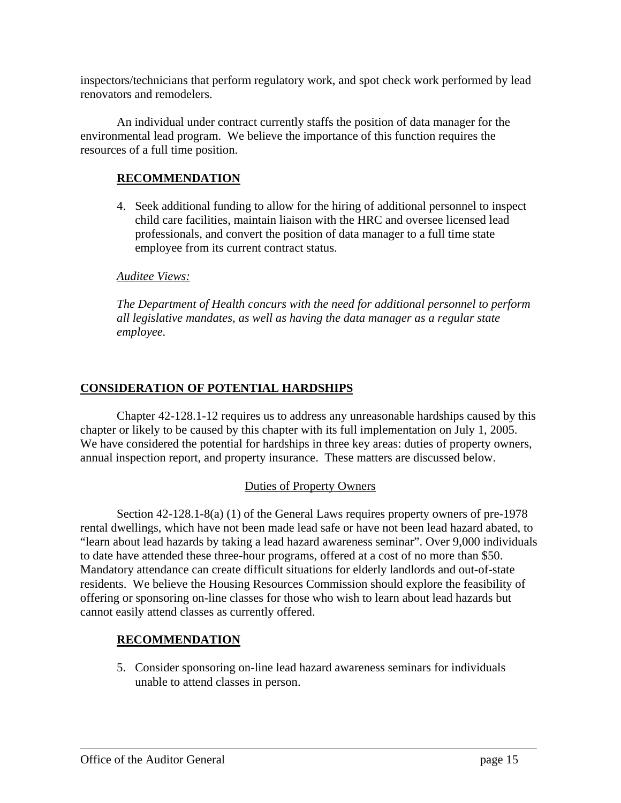inspectors/technicians that perform regulatory work, and spot check work performed by lead renovators and remodelers.

An individual under contract currently staffs the position of data manager for the environmental lead program. We believe the importance of this function requires the resources of a full time position.

## **RECOMMENDATION**

4. Seek additional funding to allow for the hiring of additional personnel to inspect child care facilities, maintain liaison with the HRC and oversee licensed lead professionals, and convert the position of data manager to a full time state employee from its current contract status.

#### *Auditee Views:*

*The Department of Health concurs with the need for additional personnel to perform all legislative mandates, as well as having the data manager as a regular state employee.* 

#### **CONSIDERATION OF POTENTIAL HARDSHIPS**

Chapter 42-128.1-12 requires us to address any unreasonable hardships caused by this chapter or likely to be caused by this chapter with its full implementation on July 1, 2005. We have considered the potential for hardships in three key areas: duties of property owners, annual inspection report, and property insurance. These matters are discussed below.

#### Duties of Property Owners

Section 42-128.1-8(a) (1) of the General Laws requires property owners of pre-1978 rental dwellings, which have not been made lead safe or have not been lead hazard abated, to "learn about lead hazards by taking a lead hazard awareness seminar". Over 9,000 individuals to date have attended these three-hour programs, offered at a cost of no more than \$50. Mandatory attendance can create difficult situations for elderly landlords and out-of-state residents. We believe the Housing Resources Commission should explore the feasibility of offering or sponsoring on-line classes for those who wish to learn about lead hazards but cannot easily attend classes as currently offered.

#### **RECOMMENDATION**

5. Consider sponsoring on-line lead hazard awareness seminars for individuals unable to attend classes in person.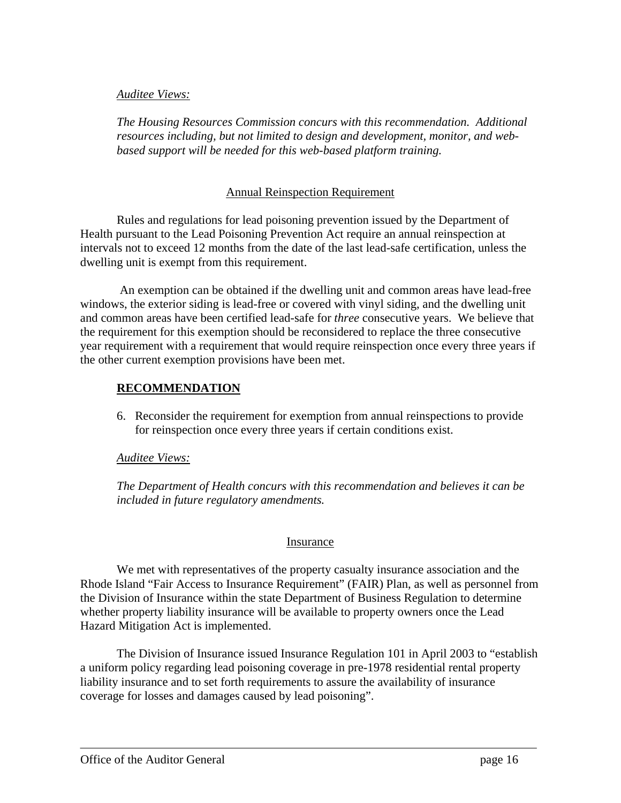#### *Auditee Views:*

*The Housing Resources Commission concurs with this recommendation. Additional resources including, but not limited to design and development, monitor, and webbased support will be needed for this web-based platform training.* 

#### Annual Reinspection Requirement

Rules and regulations for lead poisoning prevention issued by the Department of Health pursuant to the Lead Poisoning Prevention Act require an annual reinspection at intervals not to exceed 12 months from the date of the last lead-safe certification, unless the dwelling unit is exempt from this requirement.

 An exemption can be obtained if the dwelling unit and common areas have lead-free windows, the exterior siding is lead-free or covered with vinyl siding, and the dwelling unit and common areas have been certified lead-safe for *three* consecutive years. We believe that the requirement for this exemption should be reconsidered to replace the three consecutive year requirement with a requirement that would require reinspection once every three years if the other current exemption provisions have been met.

## **RECOMMENDATION**

6. Reconsider the requirement for exemption from annual reinspections to provide for reinspection once every three years if certain conditions exist.

#### *Auditee Views:*

*The Department of Health concurs with this recommendation and believes it can be included in future regulatory amendments.* 

#### Insurance

We met with representatives of the property casualty insurance association and the Rhode Island "Fair Access to Insurance Requirement" (FAIR) Plan, as well as personnel from the Division of Insurance within the state Department of Business Regulation to determine whether property liability insurance will be available to property owners once the Lead Hazard Mitigation Act is implemented.

The Division of Insurance issued Insurance Regulation 101 in April 2003 to "establish a uniform policy regarding lead poisoning coverage in pre-1978 residential rental property liability insurance and to set forth requirements to assure the availability of insurance coverage for losses and damages caused by lead poisoning".